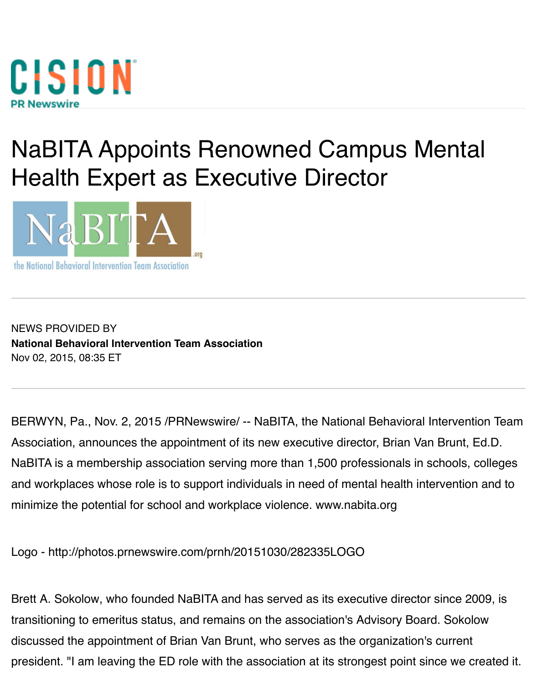

## NaBITA Appoints Renowned Campus Mer Health Expert as Executive Director



NEWS PROVIDED BY **National Behavioral Intervention Team Association** Nov 02, 2015, 08:35 ET

BERWYN, Pa., Nov. 2, 2015 /PRNewswire/ -- NaBITA, the National Behavioral Interv [Association, announces the appointment of its new](https://www.prnewswire.com/news/national-behavioral-intervention-team-association) executive director, Brian Van Bru NaBITA is a membership association serving more than 1,500 professionals in school and workplaces whose role is to support individuals in need of mental health interver minimize the potential for school and workpla[ce violen](https://nabita.org/)ce. www.nabita.org

Logo - http://photos.prnewswire.com/prnh/20151030/282335LOGO

Brett A. Sokolow, who founded NaBITA and has served a[s its executive d](http://www.nabita.org/)irector since transitioning to emeritus status, and remains on the association's Advisory Board. So discus[sed the appointment of Brian Van Brunt, who serves as the o](http://photos.prnewswire.com/prnh/20151030/282335LOGO)rganization's current president. "I am leaving the ED role with the association at its strongest point since w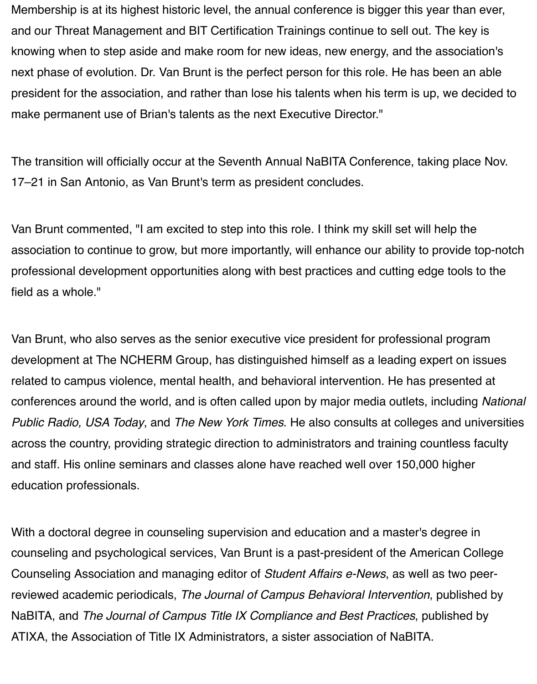president for the association, and rather than lose his talents when his term is up, we decided to make permanent use of Brian's talents as the next Executive Director."

The transition will officially occur at the Seventh Annual NaBITA Conference, taking p 17–21 in San Antonio, as Van Brunt's term as president concludes.

Van Brunt commented, "I am excited to step into this role. I think my skill set will help association to continue to grow, but more importantly, will enhance our ability to prov professional development opportunities along with best practices and cutting edge to field as a whole."

Van Brunt, who also serves as the senior executive vice president for professional pro development at The NCHERM Group, has distinguished himself as a leading expert related to campus violence, mental health, and behavioral intervention. He has presented at at  $\alpha$ conferences around the world, and is often called upon by major media outlets, inclu *Public Radio, USA Today, and The New York Times. He also consults at colleges and university and university Public Radio, USA* across the country, providing strategic direction to administrators and training countle and staff. His online seminars and classes alone have reached well over 150,000 higher [education professionals.](http://www.npr.org/2015/02/23/388449799/awash-in-social-media-cops-still-need-the-public-to-detect-threats)

With a doctoral degree in counseling supervision and education and a master's degree counseling and psychological services, Van Brunt is a past-president of the American Counseling Association and managing editor of *Student Affairs e-News*, as well as tv reviewed academic periodicals, *The Journal of Campus Behavioral Intervention*, pub NaBITA, and *The Journal of Campus Title IX Compliance and Best Practices*, publish ATIXA, the Association of Title IX Administrators, a sister association of NaBITA.